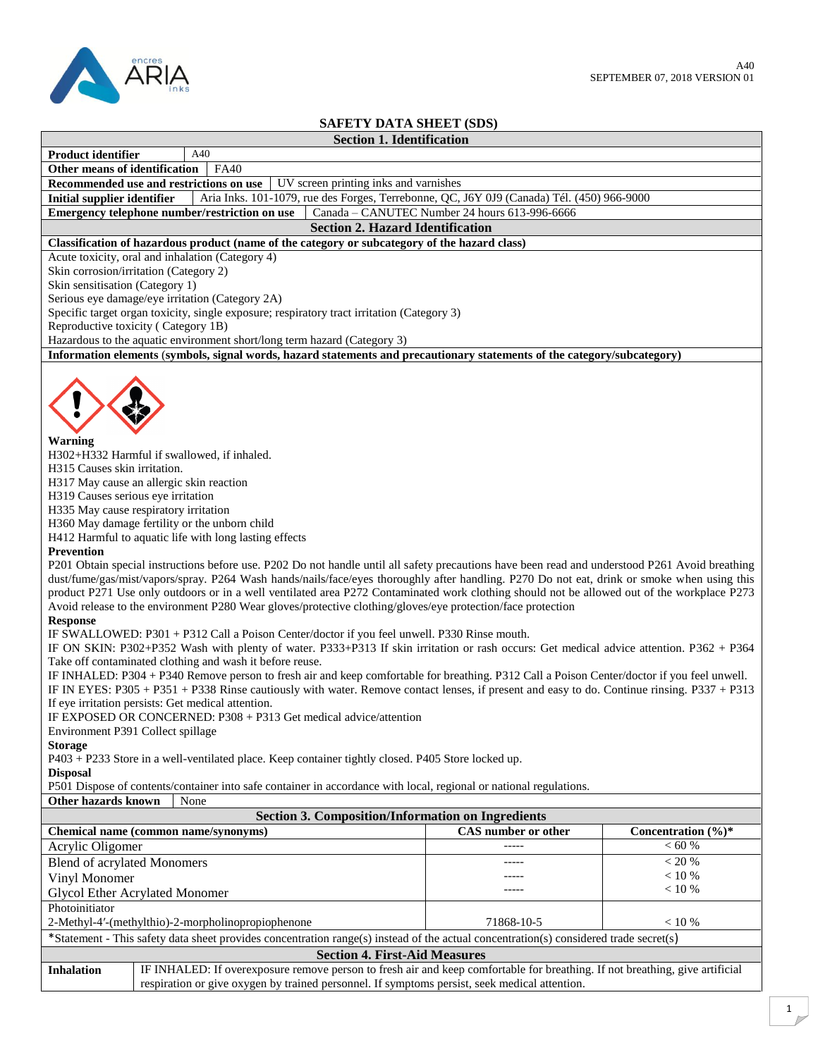

## **SAFETY DATA SHEET (SDS)**

|                                                                                                                                                                                                                                                                                                                                                                                                                                                                                                                                                                                                                                                                                                                                                                                                                                                                                                                                                                                                                                                                                                                                                                                                                                                                                                                                                                                                                                                                                                                                                                                                                                                                                                                                                                                                                                                                                                                                                                                                                                                                                                                               |  | <b>Section 1. Identification</b>                                                                                                                                                                                              |                                               |                                 |
|-------------------------------------------------------------------------------------------------------------------------------------------------------------------------------------------------------------------------------------------------------------------------------------------------------------------------------------------------------------------------------------------------------------------------------------------------------------------------------------------------------------------------------------------------------------------------------------------------------------------------------------------------------------------------------------------------------------------------------------------------------------------------------------------------------------------------------------------------------------------------------------------------------------------------------------------------------------------------------------------------------------------------------------------------------------------------------------------------------------------------------------------------------------------------------------------------------------------------------------------------------------------------------------------------------------------------------------------------------------------------------------------------------------------------------------------------------------------------------------------------------------------------------------------------------------------------------------------------------------------------------------------------------------------------------------------------------------------------------------------------------------------------------------------------------------------------------------------------------------------------------------------------------------------------------------------------------------------------------------------------------------------------------------------------------------------------------------------------------------------------------|--|-------------------------------------------------------------------------------------------------------------------------------------------------------------------------------------------------------------------------------|-----------------------------------------------|---------------------------------|
| <b>Product identifier</b>                                                                                                                                                                                                                                                                                                                                                                                                                                                                                                                                                                                                                                                                                                                                                                                                                                                                                                                                                                                                                                                                                                                                                                                                                                                                                                                                                                                                                                                                                                                                                                                                                                                                                                                                                                                                                                                                                                                                                                                                                                                                                                     |  | A40                                                                                                                                                                                                                           |                                               |                                 |
| Other means of identification<br><b>FA40</b>                                                                                                                                                                                                                                                                                                                                                                                                                                                                                                                                                                                                                                                                                                                                                                                                                                                                                                                                                                                                                                                                                                                                                                                                                                                                                                                                                                                                                                                                                                                                                                                                                                                                                                                                                                                                                                                                                                                                                                                                                                                                                  |  |                                                                                                                                                                                                                               |                                               |                                 |
| UV screen printing inks and varnishes<br>Recommended use and restrictions on use                                                                                                                                                                                                                                                                                                                                                                                                                                                                                                                                                                                                                                                                                                                                                                                                                                                                                                                                                                                                                                                                                                                                                                                                                                                                                                                                                                                                                                                                                                                                                                                                                                                                                                                                                                                                                                                                                                                                                                                                                                              |  |                                                                                                                                                                                                                               |                                               |                                 |
| <b>Initial supplier identifier</b>                                                                                                                                                                                                                                                                                                                                                                                                                                                                                                                                                                                                                                                                                                                                                                                                                                                                                                                                                                                                                                                                                                                                                                                                                                                                                                                                                                                                                                                                                                                                                                                                                                                                                                                                                                                                                                                                                                                                                                                                                                                                                            |  | Aria Inks. 101-1079, rue des Forges, Terrebonne, QC, J6Y 0J9 (Canada) Tél. (450) 966-9000                                                                                                                                     |                                               |                                 |
|                                                                                                                                                                                                                                                                                                                                                                                                                                                                                                                                                                                                                                                                                                                                                                                                                                                                                                                                                                                                                                                                                                                                                                                                                                                                                                                                                                                                                                                                                                                                                                                                                                                                                                                                                                                                                                                                                                                                                                                                                                                                                                                               |  | Emergency telephone number/restriction on use                                                                                                                                                                                 | Canada - CANUTEC Number 24 hours 613-996-6666 |                                 |
|                                                                                                                                                                                                                                                                                                                                                                                                                                                                                                                                                                                                                                                                                                                                                                                                                                                                                                                                                                                                                                                                                                                                                                                                                                                                                                                                                                                                                                                                                                                                                                                                                                                                                                                                                                                                                                                                                                                                                                                                                                                                                                                               |  | <b>Section 2. Hazard Identification</b>                                                                                                                                                                                       |                                               |                                 |
|                                                                                                                                                                                                                                                                                                                                                                                                                                                                                                                                                                                                                                                                                                                                                                                                                                                                                                                                                                                                                                                                                                                                                                                                                                                                                                                                                                                                                                                                                                                                                                                                                                                                                                                                                                                                                                                                                                                                                                                                                                                                                                                               |  | Classification of hazardous product (name of the category or subcategory of the hazard class)                                                                                                                                 |                                               |                                 |
|                                                                                                                                                                                                                                                                                                                                                                                                                                                                                                                                                                                                                                                                                                                                                                                                                                                                                                                                                                                                                                                                                                                                                                                                                                                                                                                                                                                                                                                                                                                                                                                                                                                                                                                                                                                                                                                                                                                                                                                                                                                                                                                               |  | Acute toxicity, oral and inhalation (Category 4)                                                                                                                                                                              |                                               |                                 |
| Skin corrosion/irritation (Category 2)<br>Skin sensitisation (Category 1)                                                                                                                                                                                                                                                                                                                                                                                                                                                                                                                                                                                                                                                                                                                                                                                                                                                                                                                                                                                                                                                                                                                                                                                                                                                                                                                                                                                                                                                                                                                                                                                                                                                                                                                                                                                                                                                                                                                                                                                                                                                     |  |                                                                                                                                                                                                                               |                                               |                                 |
|                                                                                                                                                                                                                                                                                                                                                                                                                                                                                                                                                                                                                                                                                                                                                                                                                                                                                                                                                                                                                                                                                                                                                                                                                                                                                                                                                                                                                                                                                                                                                                                                                                                                                                                                                                                                                                                                                                                                                                                                                                                                                                                               |  | Serious eye damage/eye irritation (Category 2A)                                                                                                                                                                               |                                               |                                 |
|                                                                                                                                                                                                                                                                                                                                                                                                                                                                                                                                                                                                                                                                                                                                                                                                                                                                                                                                                                                                                                                                                                                                                                                                                                                                                                                                                                                                                                                                                                                                                                                                                                                                                                                                                                                                                                                                                                                                                                                                                                                                                                                               |  | Specific target organ toxicity, single exposure; respiratory tract irritation (Category 3)                                                                                                                                    |                                               |                                 |
| Reproductive toxicity (Category 1B)                                                                                                                                                                                                                                                                                                                                                                                                                                                                                                                                                                                                                                                                                                                                                                                                                                                                                                                                                                                                                                                                                                                                                                                                                                                                                                                                                                                                                                                                                                                                                                                                                                                                                                                                                                                                                                                                                                                                                                                                                                                                                           |  |                                                                                                                                                                                                                               |                                               |                                 |
|                                                                                                                                                                                                                                                                                                                                                                                                                                                                                                                                                                                                                                                                                                                                                                                                                                                                                                                                                                                                                                                                                                                                                                                                                                                                                                                                                                                                                                                                                                                                                                                                                                                                                                                                                                                                                                                                                                                                                                                                                                                                                                                               |  | Hazardous to the aquatic environment short/long term hazard (Category 3)                                                                                                                                                      |                                               |                                 |
|                                                                                                                                                                                                                                                                                                                                                                                                                                                                                                                                                                                                                                                                                                                                                                                                                                                                                                                                                                                                                                                                                                                                                                                                                                                                                                                                                                                                                                                                                                                                                                                                                                                                                                                                                                                                                                                                                                                                                                                                                                                                                                                               |  |                                                                                                                                                                                                                               |                                               |                                 |
| Information elements (symbols, signal words, hazard statements and precautionary statements of the category/subcategory)<br>Warning<br>H302+H332 Harmful if swallowed, if inhaled.<br>H315 Causes skin irritation.<br>H317 May cause an allergic skin reaction<br>H319 Causes serious eye irritation<br>H335 May cause respiratory irritation<br>H360 May damage fertility or the unborn child<br>H412 Harmful to aquatic life with long lasting effects<br>Prevention<br>P201 Obtain special instructions before use. P202 Do not handle until all safety precautions have been read and understood P261 Avoid breathing<br>dust/fume/gas/mist/vapors/spray. P264 Wash hands/nails/face/eyes thoroughly after handling. P270 Do not eat, drink or smoke when using this<br>product P271 Use only outdoors or in a well ventilated area P272 Contaminated work clothing should not be allowed out of the workplace P273<br>Avoid release to the environment P280 Wear gloves/protective clothing/gloves/eye protection/face protection<br><b>Response</b><br>IF SWALLOWED: P301 + P312 Call a Poison Center/doctor if you feel unwell. P330 Rinse mouth.<br>IF ON SKIN: P302+P352 Wash with plenty of water. P333+P313 If skin irritation or rash occurs: Get medical advice attention. P362 + P364<br>Take off contaminated clothing and wash it before reuse.<br>IF INHALED: P304 + P340 Remove person to fresh air and keep comfortable for breathing. P312 Call a Poison Center/doctor if you feel unwell.<br>IF IN EYES: P305 + P351 + P338 Rinse cautiously with water. Remove contact lenses, if present and easy to do. Continue rinsing. P337 + P313<br>If eye irritation persists: Get medical attention.<br>IF EXPOSED OR CONCERNED: P308 + P313 Get medical advice/attention<br>Environment P391 Collect spillage<br><b>Storage</b><br>P403 + P233 Store in a well-ventilated place. Keep container tightly closed. P405 Store locked up.<br><b>Disposal</b><br>P501 Dispose of contents/container into safe container in accordance with local, regional or national regulations.<br>Other hazards known<br>None |  |                                                                                                                                                                                                                               |                                               |                                 |
| <b>Section 3. Composition/Information on Ingredients</b>                                                                                                                                                                                                                                                                                                                                                                                                                                                                                                                                                                                                                                                                                                                                                                                                                                                                                                                                                                                                                                                                                                                                                                                                                                                                                                                                                                                                                                                                                                                                                                                                                                                                                                                                                                                                                                                                                                                                                                                                                                                                      |  |                                                                                                                                                                                                                               |                                               |                                 |
| Chemical name (common name/synonyms)                                                                                                                                                                                                                                                                                                                                                                                                                                                                                                                                                                                                                                                                                                                                                                                                                                                                                                                                                                                                                                                                                                                                                                                                                                                                                                                                                                                                                                                                                                                                                                                                                                                                                                                                                                                                                                                                                                                                                                                                                                                                                          |  |                                                                                                                                                                                                                               | CAS number or other                           | Concentration $(\frac{6}{6})^*$ |
| Acrylic Oligomer                                                                                                                                                                                                                                                                                                                                                                                                                                                                                                                                                                                                                                                                                                                                                                                                                                                                                                                                                                                                                                                                                                                                                                                                                                                                                                                                                                                                                                                                                                                                                                                                                                                                                                                                                                                                                                                                                                                                                                                                                                                                                                              |  |                                                                                                                                                                                                                               |                                               | < 60 %                          |
| <b>Blend of acrylated Monomers</b>                                                                                                                                                                                                                                                                                                                                                                                                                                                                                                                                                                                                                                                                                                                                                                                                                                                                                                                                                                                                                                                                                                                                                                                                                                                                                                                                                                                                                                                                                                                                                                                                                                                                                                                                                                                                                                                                                                                                                                                                                                                                                            |  |                                                                                                                                                                                                                               |                                               | $<20$ %                         |
| Vinyl Monomer                                                                                                                                                                                                                                                                                                                                                                                                                                                                                                                                                                                                                                                                                                                                                                                                                                                                                                                                                                                                                                                                                                                                                                                                                                                                                                                                                                                                                                                                                                                                                                                                                                                                                                                                                                                                                                                                                                                                                                                                                                                                                                                 |  |                                                                                                                                                                                                                               |                                               | $< 10 \%$                       |
| < 10 %<br><b>Glycol Ether Acrylated Monomer</b>                                                                                                                                                                                                                                                                                                                                                                                                                                                                                                                                                                                                                                                                                                                                                                                                                                                                                                                                                                                                                                                                                                                                                                                                                                                                                                                                                                                                                                                                                                                                                                                                                                                                                                                                                                                                                                                                                                                                                                                                                                                                               |  |                                                                                                                                                                                                                               |                                               |                                 |
| Photoinitiator                                                                                                                                                                                                                                                                                                                                                                                                                                                                                                                                                                                                                                                                                                                                                                                                                                                                                                                                                                                                                                                                                                                                                                                                                                                                                                                                                                                                                                                                                                                                                                                                                                                                                                                                                                                                                                                                                                                                                                                                                                                                                                                |  |                                                                                                                                                                                                                               |                                               |                                 |
| 71868-10-5<br>2-Methyl-4'-(methylthio)-2-morpholinopropiophenone<br>< 10 %                                                                                                                                                                                                                                                                                                                                                                                                                                                                                                                                                                                                                                                                                                                                                                                                                                                                                                                                                                                                                                                                                                                                                                                                                                                                                                                                                                                                                                                                                                                                                                                                                                                                                                                                                                                                                                                                                                                                                                                                                                                    |  |                                                                                                                                                                                                                               |                                               |                                 |
| *Statement - This safety data sheet provides concentration range(s) instead of the actual concentration(s) considered trade secret(s)                                                                                                                                                                                                                                                                                                                                                                                                                                                                                                                                                                                                                                                                                                                                                                                                                                                                                                                                                                                                                                                                                                                                                                                                                                                                                                                                                                                                                                                                                                                                                                                                                                                                                                                                                                                                                                                                                                                                                                                         |  |                                                                                                                                                                                                                               |                                               |                                 |
| <b>Section 4. First-Aid Measures</b>                                                                                                                                                                                                                                                                                                                                                                                                                                                                                                                                                                                                                                                                                                                                                                                                                                                                                                                                                                                                                                                                                                                                                                                                                                                                                                                                                                                                                                                                                                                                                                                                                                                                                                                                                                                                                                                                                                                                                                                                                                                                                          |  |                                                                                                                                                                                                                               |                                               |                                 |
| <b>Inhalation</b>                                                                                                                                                                                                                                                                                                                                                                                                                                                                                                                                                                                                                                                                                                                                                                                                                                                                                                                                                                                                                                                                                                                                                                                                                                                                                                                                                                                                                                                                                                                                                                                                                                                                                                                                                                                                                                                                                                                                                                                                                                                                                                             |  | IF INHALED: If overexposure remove person to fresh air and keep comfortable for breathing. If not breathing, give artificial<br>respiration or give oxygen by trained personnel. If symptoms persist, seek medical attention. |                                               |                                 |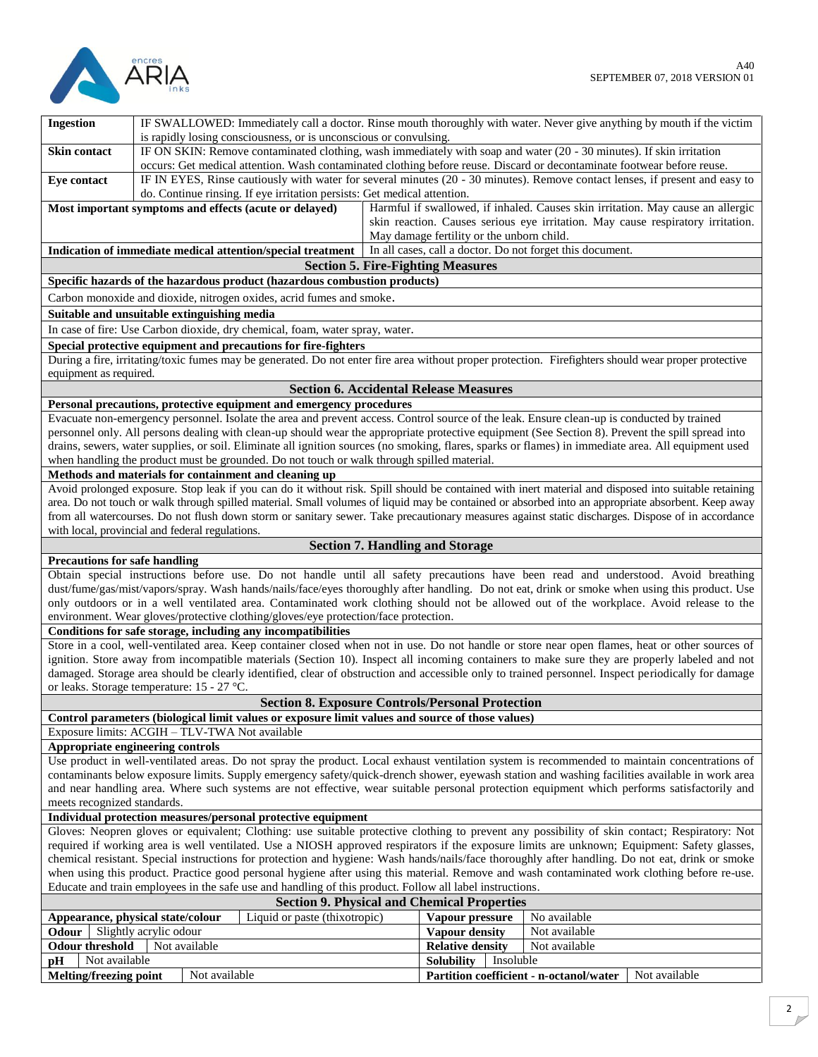

| <b>Ingestion</b>                                                                                                                                                                                                                                         | IF SWALLOWED: Immediately call a doctor. Rinse mouth thoroughly with water. Never give anything by mouth if the victim<br>is rapidly losing consciousness, or is unconscious or convulsing. |               |                                                                                            |  |                                               |  |                                                                                                                                                       |
|----------------------------------------------------------------------------------------------------------------------------------------------------------------------------------------------------------------------------------------------------------|---------------------------------------------------------------------------------------------------------------------------------------------------------------------------------------------|---------------|--------------------------------------------------------------------------------------------|--|-----------------------------------------------|--|-------------------------------------------------------------------------------------------------------------------------------------------------------|
| <b>Skin contact</b>                                                                                                                                                                                                                                      |                                                                                                                                                                                             |               |                                                                                            |  |                                               |  | IF ON SKIN: Remove contaminated clothing, wash immediately with soap and water (20 - 30 minutes). If skin irritation                                  |
|                                                                                                                                                                                                                                                          |                                                                                                                                                                                             |               |                                                                                            |  |                                               |  | occurs: Get medical attention. Wash contaminated clothing before reuse. Discard or decontaminate footwear before reuse.                               |
| Eye contact                                                                                                                                                                                                                                              |                                                                                                                                                                                             |               |                                                                                            |  |                                               |  | IF IN EYES, Rinse cautiously with water for several minutes (20 - 30 minutes). Remove contact lenses, if present and easy to                          |
|                                                                                                                                                                                                                                                          |                                                                                                                                                                                             |               | do. Continue rinsing. If eye irritation persists: Get medical attention.                   |  |                                               |  |                                                                                                                                                       |
|                                                                                                                                                                                                                                                          |                                                                                                                                                                                             |               |                                                                                            |  |                                               |  |                                                                                                                                                       |
|                                                                                                                                                                                                                                                          |                                                                                                                                                                                             |               | Most important symptoms and effects (acute or delayed)                                     |  |                                               |  | Harmful if swallowed, if inhaled. Causes skin irritation. May cause an allergic                                                                       |
|                                                                                                                                                                                                                                                          |                                                                                                                                                                                             |               |                                                                                            |  |                                               |  | skin reaction. Causes serious eye irritation. May cause respiratory irritation.                                                                       |
|                                                                                                                                                                                                                                                          |                                                                                                                                                                                             |               |                                                                                            |  | May damage fertility or the unborn child.     |  |                                                                                                                                                       |
|                                                                                                                                                                                                                                                          |                                                                                                                                                                                             |               | Indication of immediate medical attention/special treatment                                |  |                                               |  | In all cases, call a doctor. Do not forget this document.                                                                                             |
|                                                                                                                                                                                                                                                          |                                                                                                                                                                                             |               |                                                                                            |  | <b>Section 5. Fire-Fighting Measures</b>      |  |                                                                                                                                                       |
|                                                                                                                                                                                                                                                          |                                                                                                                                                                                             |               | Specific hazards of the hazardous product (hazardous combustion products)                  |  |                                               |  |                                                                                                                                                       |
|                                                                                                                                                                                                                                                          |                                                                                                                                                                                             |               | Carbon monoxide and dioxide, nitrogen oxides, acrid fumes and smoke.                       |  |                                               |  |                                                                                                                                                       |
| Suitable and unsuitable extinguishing media                                                                                                                                                                                                              |                                                                                                                                                                                             |               |                                                                                            |  |                                               |  |                                                                                                                                                       |
|                                                                                                                                                                                                                                                          |                                                                                                                                                                                             |               | In case of fire: Use Carbon dioxide, dry chemical, foam, water spray, water.               |  |                                               |  |                                                                                                                                                       |
|                                                                                                                                                                                                                                                          |                                                                                                                                                                                             |               | Special protective equipment and precautions for fire-fighters                             |  |                                               |  |                                                                                                                                                       |
|                                                                                                                                                                                                                                                          |                                                                                                                                                                                             |               |                                                                                            |  |                                               |  | During a fire, irritating/toxic fumes may be generated. Do not enter fire area without proper protection. Firefighters should wear proper protective  |
| equipment as required.                                                                                                                                                                                                                                   |                                                                                                                                                                                             |               |                                                                                            |  |                                               |  |                                                                                                                                                       |
|                                                                                                                                                                                                                                                          |                                                                                                                                                                                             |               |                                                                                            |  | <b>Section 6. Accidental Release Measures</b> |  |                                                                                                                                                       |
|                                                                                                                                                                                                                                                          |                                                                                                                                                                                             |               | Personal precautions, protective equipment and emergency procedures                        |  |                                               |  |                                                                                                                                                       |
|                                                                                                                                                                                                                                                          |                                                                                                                                                                                             |               |                                                                                            |  |                                               |  | Evacuate non-emergency personnel. Isolate the area and prevent access. Control source of the leak. Ensure clean-up is conducted by trained            |
|                                                                                                                                                                                                                                                          |                                                                                                                                                                                             |               |                                                                                            |  |                                               |  | personnel only. All persons dealing with clean-up should wear the appropriate protective equipment (See Section 8). Prevent the spill spread into     |
|                                                                                                                                                                                                                                                          |                                                                                                                                                                                             |               |                                                                                            |  |                                               |  | drains, sewers, water supplies, or soil. Eliminate all ignition sources (no smoking, flares, sparks or flames) in immediate area. All equipment used  |
|                                                                                                                                                                                                                                                          |                                                                                                                                                                                             |               |                                                                                            |  |                                               |  |                                                                                                                                                       |
|                                                                                                                                                                                                                                                          |                                                                                                                                                                                             |               | when handling the product must be grounded. Do not touch or walk through spilled material. |  |                                               |  |                                                                                                                                                       |
|                                                                                                                                                                                                                                                          |                                                                                                                                                                                             |               | Methods and materials for containment and cleaning up                                      |  |                                               |  | Avoid prolonged exposure. Stop leak if you can do it without risk. Spill should be contained with inert material and disposed into suitable retaining |
|                                                                                                                                                                                                                                                          |                                                                                                                                                                                             |               |                                                                                            |  |                                               |  | area. Do not touch or walk through spilled material. Small volumes of liquid may be contained or absorbed into an appropriate absorbent. Keep away    |
|                                                                                                                                                                                                                                                          |                                                                                                                                                                                             |               |                                                                                            |  |                                               |  |                                                                                                                                                       |
|                                                                                                                                                                                                                                                          |                                                                                                                                                                                             |               |                                                                                            |  |                                               |  | from all watercourses. Do not flush down storm or sanitary sewer. Take precautionary measures against static discharges. Dispose of in accordance     |
| with local, provincial and federal regulations.                                                                                                                                                                                                          |                                                                                                                                                                                             |               |                                                                                            |  |                                               |  |                                                                                                                                                       |
| <b>Section 7. Handling and Storage</b>                                                                                                                                                                                                                   |                                                                                                                                                                                             |               |                                                                                            |  |                                               |  |                                                                                                                                                       |
| <b>Precautions for safe handling</b>                                                                                                                                                                                                                     |                                                                                                                                                                                             |               |                                                                                            |  |                                               |  |                                                                                                                                                       |
|                                                                                                                                                                                                                                                          |                                                                                                                                                                                             |               |                                                                                            |  |                                               |  | Obtain special instructions before use. Do not handle until all safety precautions have been read and understood. Avoid breathing                     |
|                                                                                                                                                                                                                                                          | dust/fume/gas/mist/vapors/spray. Wash hands/nails/face/eyes thoroughly after handling. Do not eat, drink or smoke when using this product. Use                                              |               |                                                                                            |  |                                               |  |                                                                                                                                                       |
| only outdoors or in a well ventilated area. Contaminated work clothing should not be allowed out of the workplace. Avoid release to the                                                                                                                  |                                                                                                                                                                                             |               |                                                                                            |  |                                               |  |                                                                                                                                                       |
| environment. Wear gloves/protective clothing/gloves/eye protection/face protection.                                                                                                                                                                      |                                                                                                                                                                                             |               |                                                                                            |  |                                               |  |                                                                                                                                                       |
|                                                                                                                                                                                                                                                          |                                                                                                                                                                                             |               | Conditions for safe storage, including any incompatibilities                               |  |                                               |  |                                                                                                                                                       |
|                                                                                                                                                                                                                                                          |                                                                                                                                                                                             |               |                                                                                            |  |                                               |  | Store in a cool, well-ventilated area. Keep container closed when not in use. Do not handle or store near open flames, heat or other sources of       |
|                                                                                                                                                                                                                                                          |                                                                                                                                                                                             |               |                                                                                            |  |                                               |  | ignition. Store away from incompatible materials (Section 10). Inspect all incoming containers to make sure they are properly labeled and not         |
|                                                                                                                                                                                                                                                          |                                                                                                                                                                                             |               |                                                                                            |  |                                               |  | damaged. Storage area should be clearly identified, clear of obstruction and accessible only to trained personnel. Inspect periodically for damage    |
| or leaks. Storage temperature: 15 - 27 °C.                                                                                                                                                                                                               |                                                                                                                                                                                             |               |                                                                                            |  |                                               |  |                                                                                                                                                       |
| <b>Section 8. Exposure Controls/Personal Protection</b>                                                                                                                                                                                                  |                                                                                                                                                                                             |               |                                                                                            |  |                                               |  |                                                                                                                                                       |
| Control parameters (biological limit values or exposure limit values and source of those values)                                                                                                                                                         |                                                                                                                                                                                             |               |                                                                                            |  |                                               |  |                                                                                                                                                       |
| Exposure limits: ACGIH - TLV-TWA Not available                                                                                                                                                                                                           |                                                                                                                                                                                             |               |                                                                                            |  |                                               |  |                                                                                                                                                       |
| Appropriate engineering controls                                                                                                                                                                                                                         |                                                                                                                                                                                             |               |                                                                                            |  |                                               |  |                                                                                                                                                       |
| Use product in well-ventilated areas. Do not spray the product. Local exhaust ventilation system is recommended to maintain concentrations of                                                                                                            |                                                                                                                                                                                             |               |                                                                                            |  |                                               |  |                                                                                                                                                       |
| contaminants below exposure limits. Supply emergency safety/quick-drench shower, eyewash station and washing facilities available in work area                                                                                                           |                                                                                                                                                                                             |               |                                                                                            |  |                                               |  |                                                                                                                                                       |
| and near handling area. Where such systems are not effective, wear suitable personal protection equipment which performs satisfactorily and                                                                                                              |                                                                                                                                                                                             |               |                                                                                            |  |                                               |  |                                                                                                                                                       |
| meets recognized standards.                                                                                                                                                                                                                              |                                                                                                                                                                                             |               |                                                                                            |  |                                               |  |                                                                                                                                                       |
| Individual protection measures/personal protective equipment                                                                                                                                                                                             |                                                                                                                                                                                             |               |                                                                                            |  |                                               |  |                                                                                                                                                       |
| Gloves: Neopren gloves or equivalent; Clothing: use suitable protective clothing to prevent any possibility of skin contact; Respiratory: Not                                                                                                            |                                                                                                                                                                                             |               |                                                                                            |  |                                               |  |                                                                                                                                                       |
| required if working area is well ventilated. Use a NIOSH approved respirators if the exposure limits are unknown; Equipment: Safety glasses,                                                                                                             |                                                                                                                                                                                             |               |                                                                                            |  |                                               |  |                                                                                                                                                       |
| chemical resistant. Special instructions for protection and hygiene: Wash hands/nails/face thoroughly after handling. Do not eat, drink or smoke                                                                                                         |                                                                                                                                                                                             |               |                                                                                            |  |                                               |  |                                                                                                                                                       |
| when using this product. Practice good personal hygiene after using this material. Remove and wash contaminated work clothing before re-use.<br>Educate and train employees in the safe use and handling of this product. Follow all label instructions. |                                                                                                                                                                                             |               |                                                                                            |  |                                               |  |                                                                                                                                                       |
|                                                                                                                                                                                                                                                          |                                                                                                                                                                                             |               |                                                                                            |  |                                               |  |                                                                                                                                                       |
|                                                                                                                                                                                                                                                          | <b>Section 9. Physical and Chemical Properties</b>                                                                                                                                          |               |                                                                                            |  |                                               |  |                                                                                                                                                       |
| Liquid or paste (thixotropic)<br>Appearance, physical state/colour                                                                                                                                                                                       |                                                                                                                                                                                             |               | Vapour pressure                                                                            |  | No available                                  |  |                                                                                                                                                       |
| Slightly acrylic odour<br>Odour                                                                                                                                                                                                                          |                                                                                                                                                                                             |               | Vapour density                                                                             |  | Not available                                 |  |                                                                                                                                                       |
| <b>Odour threshold</b><br>Not available<br>Not available<br><b>Relative density</b>                                                                                                                                                                      |                                                                                                                                                                                             |               |                                                                                            |  |                                               |  |                                                                                                                                                       |
| Not available<br>pH                                                                                                                                                                                                                                      |                                                                                                                                                                                             |               |                                                                                            |  | <b>Solubility</b><br>Insoluble                |  |                                                                                                                                                       |
| <b>Melting/freezing point</b>                                                                                                                                                                                                                            |                                                                                                                                                                                             | Not available |                                                                                            |  |                                               |  | Partition coefficient - n-octanol/water<br>Not available                                                                                              |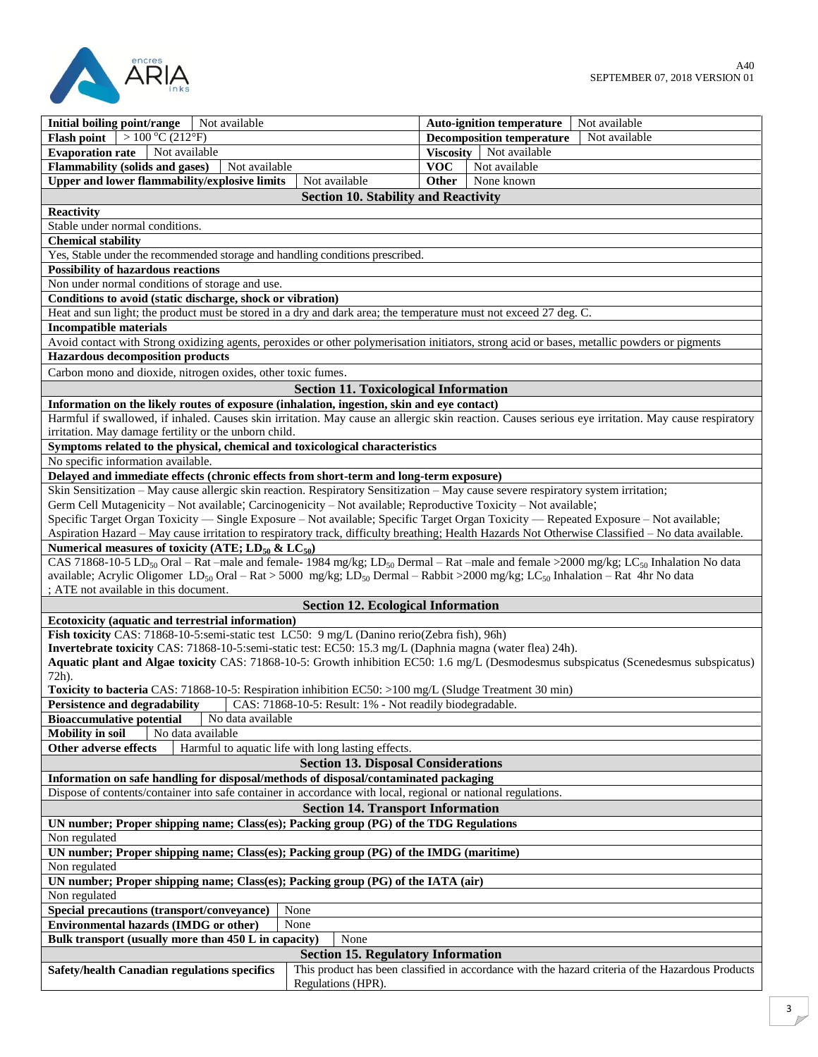

| Not available<br>Initial boiling point/range                                                                                                                             | Not available<br><b>Auto-ignition temperature</b> |  |  |  |  |  |
|--------------------------------------------------------------------------------------------------------------------------------------------------------------------------|---------------------------------------------------|--|--|--|--|--|
| Flash point $\sqrt{>100\degree C(212\degree F)}$                                                                                                                         | <b>Decomposition temperature</b><br>Not available |  |  |  |  |  |
| <b>Evaporation rate</b><br>Not available                                                                                                                                 | Viscosity Not available                           |  |  |  |  |  |
| Flammability (solids and gases)<br>Not available                                                                                                                         | <b>VOC</b><br>Not available                       |  |  |  |  |  |
| Upper and lower flammability/explosive limits<br>Not available                                                                                                           | None known<br>Other                               |  |  |  |  |  |
| <b>Section 10. Stability and Reactivity</b>                                                                                                                              |                                                   |  |  |  |  |  |
| <b>Reactivity</b>                                                                                                                                                        |                                                   |  |  |  |  |  |
| Stable under normal conditions.                                                                                                                                          |                                                   |  |  |  |  |  |
| <b>Chemical stability</b>                                                                                                                                                |                                                   |  |  |  |  |  |
| Yes, Stable under the recommended storage and handling conditions prescribed.                                                                                            |                                                   |  |  |  |  |  |
| <b>Possibility of hazardous reactions</b>                                                                                                                                |                                                   |  |  |  |  |  |
| Non under normal conditions of storage and use.                                                                                                                          |                                                   |  |  |  |  |  |
| Conditions to avoid (static discharge, shock or vibration)                                                                                                               |                                                   |  |  |  |  |  |
| Heat and sun light; the product must be stored in a dry and dark area; the temperature must not exceed 27 deg. C.                                                        |                                                   |  |  |  |  |  |
| <b>Incompatible materials</b>                                                                                                                                            |                                                   |  |  |  |  |  |
| Avoid contact with Strong oxidizing agents, peroxides or other polymerisation initiators, strong acid or bases, metallic powders or pigments                             |                                                   |  |  |  |  |  |
| <b>Hazardous decomposition products</b>                                                                                                                                  |                                                   |  |  |  |  |  |
| Carbon mono and dioxide, nitrogen oxides, other toxic fumes.                                                                                                             |                                                   |  |  |  |  |  |
|                                                                                                                                                                          |                                                   |  |  |  |  |  |
| <b>Section 11. Toxicological Information</b>                                                                                                                             |                                                   |  |  |  |  |  |
| Information on the likely routes of exposure (inhalation, ingestion, skin and eye contact)                                                                               |                                                   |  |  |  |  |  |
| Harmful if swallowed, if inhaled. Causes skin irritation. May cause an allergic skin reaction. Causes serious eye irritation. May cause respiratory                      |                                                   |  |  |  |  |  |
| irritation. May damage fertility or the unborn child.                                                                                                                    |                                                   |  |  |  |  |  |
| Symptoms related to the physical, chemical and toxicological characteristics                                                                                             |                                                   |  |  |  |  |  |
| No specific information available.                                                                                                                                       |                                                   |  |  |  |  |  |
| Delayed and immediate effects (chronic effects from short-term and long-term exposure)                                                                                   |                                                   |  |  |  |  |  |
| Skin Sensitization - May cause allergic skin reaction. Respiratory Sensitization - May cause severe respiratory system irritation;                                       |                                                   |  |  |  |  |  |
| Germ Cell Mutagenicity – Not available; Carcinogenicity – Not available; Reproductive Toxicity – Not available;                                                          |                                                   |  |  |  |  |  |
| Specific Target Organ Toxicity — Single Exposure - Not available; Specific Target Organ Toxicity — Repeated Exposure - Not available;                                    |                                                   |  |  |  |  |  |
| Aspiration Hazard - May cause irritation to respiratory track, difficulty breathing; Health Hazards Not Otherwise Classified - No data available.                        |                                                   |  |  |  |  |  |
| Numerical measures of toxicity (ATE; $LD_{50}$ & $LC_{50}$ )                                                                                                             |                                                   |  |  |  |  |  |
| CAS 71868-10-5 LD <sub>50</sub> Oral – Rat –male and female- 1984 mg/kg; LD <sub>50</sub> Dermal – Rat –male and female >2000 mg/kg; LC <sub>50</sub> Inhalation No data |                                                   |  |  |  |  |  |
| available; Acrylic Oligomer LD <sub>50</sub> Oral – Rat > 5000 mg/kg; LD <sub>50</sub> Dermal – Rabbit > 2000 mg/kg; LC <sub>50</sub> Inhalation – Rat 4hr No data       |                                                   |  |  |  |  |  |
| ; ATE not available in this document.                                                                                                                                    |                                                   |  |  |  |  |  |
| <b>Section 12. Ecological Information</b>                                                                                                                                |                                                   |  |  |  |  |  |
| Ecotoxicity (aquatic and terrestrial information)                                                                                                                        |                                                   |  |  |  |  |  |
| Fish toxicity CAS: 71868-10-5:semi-static test LC50: 9 mg/L (Danino rerio(Zebra fish), 96h)                                                                              |                                                   |  |  |  |  |  |
| Invertebrate toxicity CAS: 71868-10-5:semi-static test: EC50: 15.3 mg/L (Daphnia magna (water flea) 24h).                                                                |                                                   |  |  |  |  |  |
| Aquatic plant and Algae toxicity CAS: 71868-10-5: Growth inhibition EC50: 1.6 mg/L (Desmodesmus subspicatus (Scenedesmus subspicatus)                                    |                                                   |  |  |  |  |  |
| 72h).                                                                                                                                                                    |                                                   |  |  |  |  |  |
| <b>Toxicity to bacteria</b> CAS: 71868-10-5: Respiration inhibition EC50: >100 mg/L (Sludge Treatment 30 min)                                                            |                                                   |  |  |  |  |  |
| CAS: 71868-10-5: Result: 1% - Not readily biodegradable.<br><b>Persistence and degradability</b>                                                                         |                                                   |  |  |  |  |  |
| <b>Bioaccumulative potential</b><br>No data available                                                                                                                    |                                                   |  |  |  |  |  |
| No data available<br><b>Mobility</b> in soil                                                                                                                             |                                                   |  |  |  |  |  |
| Harmful to aquatic life with long lasting effects.<br>Other adverse effects                                                                                              |                                                   |  |  |  |  |  |
| <b>Section 13. Disposal Considerations</b>                                                                                                                               |                                                   |  |  |  |  |  |
| Information on safe handling for disposal/methods of disposal/contaminated packaging                                                                                     |                                                   |  |  |  |  |  |
| Dispose of contents/container into safe container in accordance with local, regional or national regulations.                                                            |                                                   |  |  |  |  |  |
| <b>Section 14. Transport Information</b>                                                                                                                                 |                                                   |  |  |  |  |  |
| UN number; Proper shipping name; Class(es); Packing group (PG) of the TDG Regulations                                                                                    |                                                   |  |  |  |  |  |
| Non regulated                                                                                                                                                            |                                                   |  |  |  |  |  |
| UN number; Proper shipping name; Class(es); Packing group (PG) of the IMDG (maritime)                                                                                    |                                                   |  |  |  |  |  |
| Non regulated                                                                                                                                                            |                                                   |  |  |  |  |  |
| UN number; Proper shipping name; Class(es); Packing group (PG) of the IATA (air)                                                                                         |                                                   |  |  |  |  |  |
|                                                                                                                                                                          |                                                   |  |  |  |  |  |
| Non regulated                                                                                                                                                            |                                                   |  |  |  |  |  |
| Special precautions (transport/conveyance)<br>None                                                                                                                       |                                                   |  |  |  |  |  |
| Environmental hazards (IMDG or other)<br>None<br>None                                                                                                                    |                                                   |  |  |  |  |  |
| Bulk transport (usually more than 450 L in capacity)                                                                                                                     |                                                   |  |  |  |  |  |
| <b>Section 15. Regulatory Information</b>                                                                                                                                |                                                   |  |  |  |  |  |
| This product has been classified in accordance with the hazard criteria of the Hazardous Products<br>Safety/health Canadian regulations specifics                        |                                                   |  |  |  |  |  |
| Regulations (HPR).                                                                                                                                                       |                                                   |  |  |  |  |  |